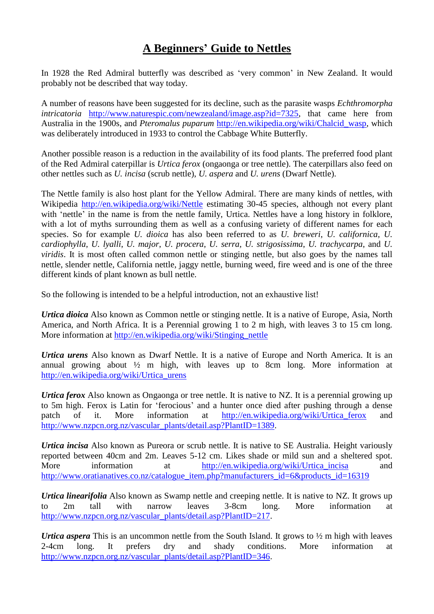## **A Beginners' Guide to Nettles**

In 1928 the Red Admiral butterfly was described as 'very common' in New Zealand. It would probably not be described that way today.

A number of reasons have been suggested for its decline, such as the parasite wasps *Echthromorpha intricatoria* [http://www.naturespic.com/newzealand/image.asp?id=7325,](http://www.naturespic.com/newzealand/image.asp?id=7325) that came here from Australia in the 1900s, and *Pteromalus puparum* [http://en.wikipedia.org/wiki/Chalcid\\_wasp,](http://en.wikipedia.org/wiki/Chalcid_wasp) which was deliberately introduced in 1933 to control the Cabbage White Butterfly.

Another possible reason is a reduction in the availability of its food plants. The preferred food plant of the Red Admiral caterpillar is *Urtica ferox* (ongaonga or tree nettle). The caterpillars also feed on other nettles such as *U. incisa* (scrub nettle), *U. aspera* and *U. urens* (Dwarf Nettle).

The Nettle family is also host plant for the Yellow Admiral. There are many kinds of nettles, with Wikipedia <http://en.wikipedia.org/wiki/Nettle> estimating 30-45 species, although not every plant with 'nettle' in the name is from the nettle family, Urtica. Nettles have a long history in folklore, with a lot of myths surrounding them as well as a confusing variety of different names for each species. So for example *U. dioica* has also been referred to as *U. breweri*, *U. californica*, *U. cardiophylla*, *U. lyalli*, *U. major*, *U. procera*, *U. serra*, *U. strigosissima*, *U. trachycarpa*, and *U. viridis*. It is most often called common nettle or stinging nettle, but also goes by the names tall nettle, slender nettle, California nettle, jaggy nettle, burning weed, fire weed and is one of the three different kinds of plant known as bull nettle.

So the following is intended to be a helpful introduction, not an exhaustive list!

*Urtica dioica* Also known as Common nettle or stinging nettle. It is a native of Europe, Asia, North America, and North Africa. It is a Perennial growing 1 to 2 m high, with leaves 3 to 15 cm long. More information at [http://en.wikipedia.org/wiki/Stinging\\_nettle](http://en.wikipedia.org/wiki/Stinging_nettle)

*Urtica urens* Also known as Dwarf Nettle. It is a native of Europe and North America. It is an annual growing about  $\frac{1}{2}$  m high, with leaves up to 8cm long. More information at [http://en.wikipedia.org/wiki/Urtica\\_urens](http://en.wikipedia.org/wiki/Urtica_urens)

*Urtica ferox* Also known as Ongaonga or tree nettle. It is native to NZ. It is a perennial growing up to 5m high. Ferox is Latin for 'ferocious' and a hunter once died after pushing through a dense patch of it. More information at [http://en.wikipedia.org/wiki/Urtica\\_ferox](http://en.wikipedia.org/wiki/Urtica_ferox) and [http://www.nzpcn.org.nz/vascular\\_plants/detail.asp?PlantID=1389.](http://www.nzpcn.org.nz/vascular_plants/detail.asp?PlantID=1389)

*Urtica incisa* Also known as Pureora or scrub nettle. It is native to SE Australia. Height variously reported between 40cm and 2m. Leaves 5-12 cm. Likes shade or mild sun and a sheltered spot. More information at [http://en.wikipedia.org/wiki/Urtica\\_incisa](http://en.wikipedia.org/wiki/Urtica_incisa) and [http://www.oratianatives.co.nz/catalogue\\_item.php?manufacturers\\_id=6&products\\_id=16319](http://www.oratianatives.co.nz/catalogue_item.php?manufacturers_id=6&products_id=16319)

*Urtica linearifolia* Also known as Swamp nettle and creeping nettle. It is native to NZ. It grows up to 2m tall with narrow leaves 3-8cm long. More information at [http://www.nzpcn.org.nz/vascular\\_plants/detail.asp?PlantID=217.](http://www.nzpcn.org.nz/vascular_plants/detail.asp?PlantID=217)

*Urtica aspera* This is an uncommon nettle from the South Island. It grows to ½ m high with leaves 2-4cm long. It prefers dry and shady conditions. More information at [http://www.nzpcn.org.nz/vascular\\_plants/detail.asp?PlantID=346.](http://www.nzpcn.org.nz/vascular_plants/detail.asp?PlantID=346)